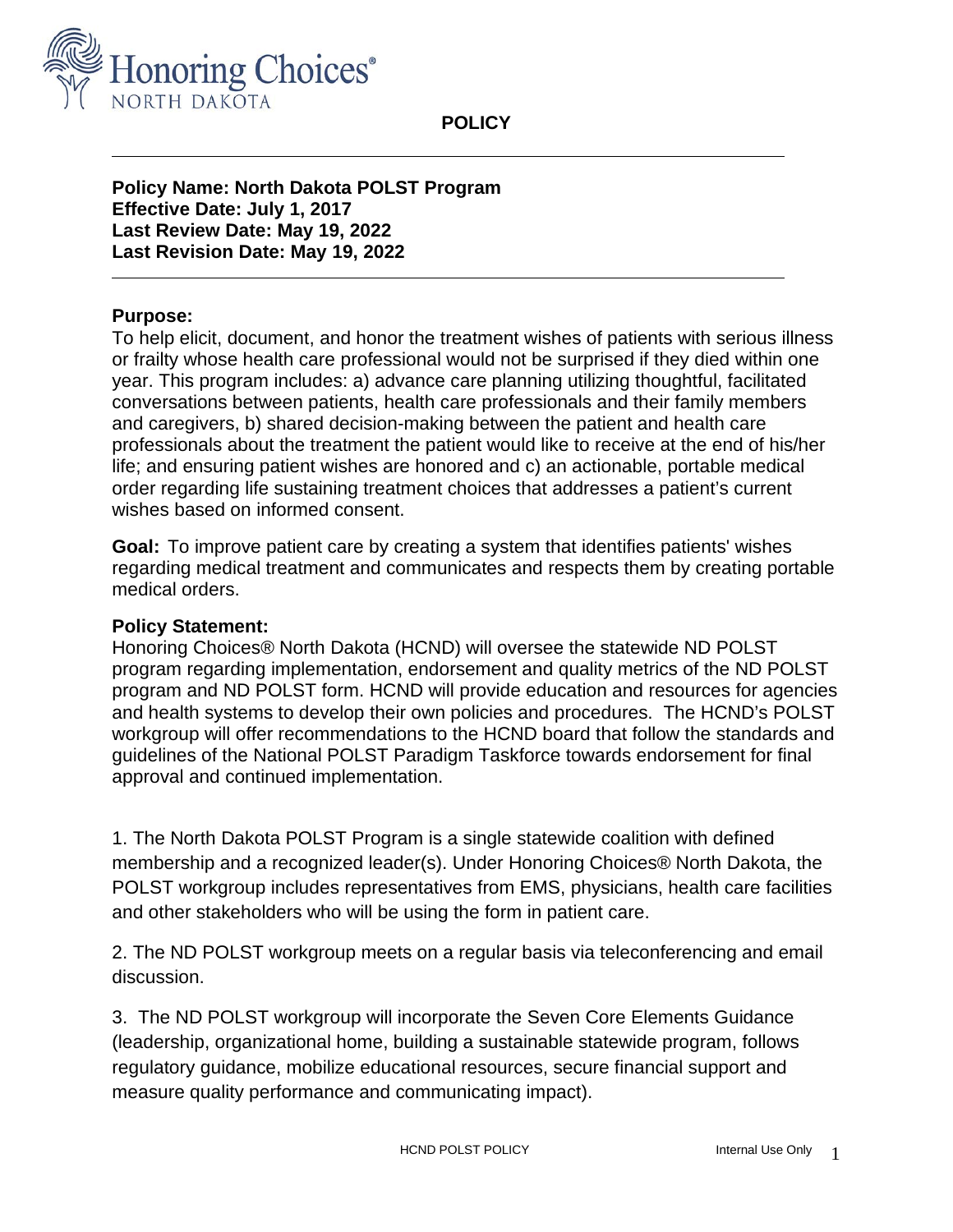

**POLICY**

**Policy Name: North Dakota POLST Program Effective Date: July 1, 2017 Last Review Date: May 19, 2022 Last Revision Date: May 19, 2022**

## **Purpose:**

To help elicit, document, and honor the treatment wishes of patients with serious illness or frailty whose health care professional would not be surprised if they died within one year. This program includes: a) advance care planning utilizing thoughtful, facilitated conversations between patients, health care professionals and their family members and caregivers, b) shared decision-making between the patient and health care professionals about the treatment the patient would like to receive at the end of his/her life; and ensuring patient wishes are honored and c) an actionable, portable medical order regarding life sustaining treatment choices that addresses a patient's current wishes based on informed consent.

**Goal:** To improve patient care by creating a system that identifies patients' wishes regarding medical treatment and communicates and respects them by creating portable medical orders.

## **Policy Statement:**

Honoring Choices® North Dakota (HCND) will oversee the statewide ND POLST program regarding implementation, endorsement and quality metrics of the ND POLST program and ND POLST form. HCND will provide education and resources for agencies and health systems to develop their own policies and procedures. The HCND's POLST workgroup will offer recommendations to the HCND board that follow the standards and guidelines of the National POLST Paradigm Taskforce towards endorsement for final approval and continued implementation.

1. The North Dakota POLST Program is a single statewide coalition with defined membership and a recognized leader(s). Under Honoring Choices® North Dakota, the POLST workgroup includes representatives from EMS, physicians, health care facilities and other stakeholders who will be using the form in patient care.

2. The ND POLST workgroup meets on a regular basis via teleconferencing and email discussion.

3. The ND POLST workgroup will incorporate the Seven Core Elements Guidance (leadership, organizational home, building a sustainable statewide program, follows regulatory guidance, mobilize educational resources, secure financial support and measure quality performance and communicating impact).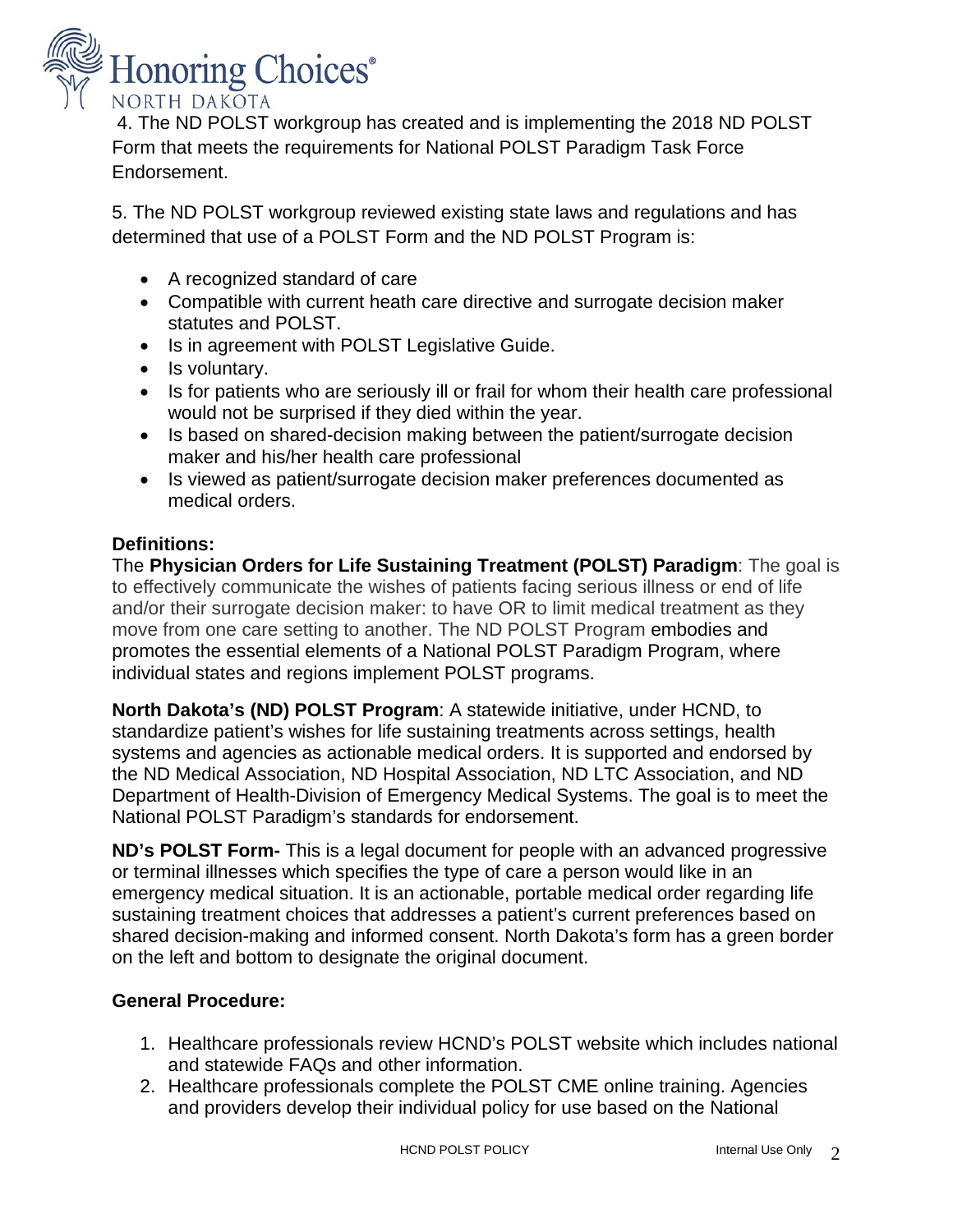

4. The ND POLST workgroup has created and is implementing the 2018 ND POLST Form that meets the requirements for National POLST Paradigm Task Force Endorsement.

5. The ND POLST workgroup reviewed existing state laws and regulations and has determined that use of a POLST Form and the ND POLST Program is:

- A recognized standard of care
- Compatible with current heath care directive and surrogate decision maker statutes and POLST.
- Is in agreement with POLST Legislative Guide.
- Is voluntary.
- Is for patients who are seriously ill or frail for whom their health care professional would not be surprised if they died within the year.
- Is based on shared-decision making between the patient/surrogate decision maker and his/her health care professional
- Is viewed as patient/surrogate decision maker preferences documented as medical orders.

## **Definitions:**

The **Physician Orders for Life Sustaining Treatment (POLST) Paradigm**: The goal is to effectively communicate the wishes of patients facing serious illness or end of life and/or their surrogate decision maker: to have OR to limit medical treatment as they move from one care setting to another. The ND POLST Program embodies and promotes the essential elements of a National POLST Paradigm Program, where individual states and regions implement POLST programs.

**North Dakota's (ND) POLST Program**: A statewide initiative, under HCND, to standardize patient's wishes for life sustaining treatments across settings, health systems and agencies as actionable medical orders. It is supported and endorsed by the ND Medical Association, ND Hospital Association, ND LTC Association, and ND Department of Health-Division of Emergency Medical Systems. The goal is to meet the National POLST Paradigm's standards for endorsement.

**ND's POLST Form-** This is a legal document for people with an advanced progressive or terminal illnesses which specifies the type of care a person would like in an emergency medical situation. It is an actionable, portable medical order regarding life sustaining treatment choices that addresses a patient's current preferences based on shared decision-making and informed consent. North Dakota's form has a green border on the left and bottom to designate the original document.

## **General Procedure:**

- 1. Healthcare professionals review HCND's POLST website which includes national and statewide FAQs and other information.
- 2. Healthcare professionals complete the POLST CME online training. Agencies and providers develop their individual policy for use based on the National